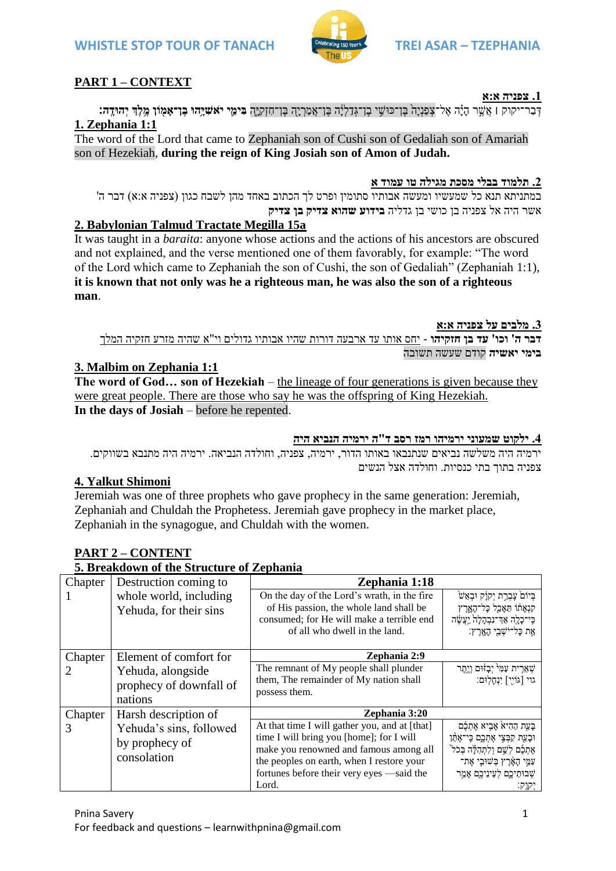# **2. Babylonian Talmud Tractate Megilla 15a**

It was taught in a *baraita*: anyone whose actions and the actions of his ancestors are obscured and not explained, and the verse mentioned one of them favorably, for example: "The word of the Lord which came to Zephaniah the son of Cushi, the son of Gedaliah" (Zephaniah 1:1), **it is known that not only was he a righteous man, he was also the son of a righteous man**.

**.3 מלבים על צפניה א:א דבר ה' וכו' עד בן חזקיהו** - יחס אותו עד ארבעה דורות שהיו אבותיו גדולים וי"א שהיה מזרע חזקיה המלך **בימי יאשיה** קודם שעשה תשובה

### **3. Malbim on Zephania 1:1**

**The word of God… son of Hezekiah** – the lineage of four generations is given because they were great people. There are those who say he was the offspring of King Hezekiah. **In the days of Josiah** – before he repented.

#### **.4 ילקוט שמעוני ירמיהו רמז רסב ד"ה ירמיה הנביא היה**

ירמיה היה משלשה נביאים שנתנבאו באותו הדור, ירמיה, צפניה, וחולדה הנביאה. ירמיה היה מתנבא בשווקים. צפניה בתוך בתי כנסיות. וחולדה אצל הנשים

### **4. Yalkut Shimoni**

**PART 2 – CONTENT** 

Jeremiah was one of three prophets who gave prophecy in the same generation: Jeremiah, Zephaniah and Chuldah the Prophetess. Jeremiah gave prophecy in the market place, Zephaniah in the synagogue, and Chuldah with the women.

| 5. Breakdown of the Structure of Zephania |                                                          |                                                                                                                                                                                                                                        |                                                                                                                                                                                           |
|-------------------------------------------|----------------------------------------------------------|----------------------------------------------------------------------------------------------------------------------------------------------------------------------------------------------------------------------------------------|-------------------------------------------------------------------------------------------------------------------------------------------------------------------------------------------|
| Chapter                                   | Destruction coming to                                    | Zephania 1:18                                                                                                                                                                                                                          |                                                                                                                                                                                           |
|                                           | whole world, including<br>Yehuda, for their sins         | On the day of the Lord's wrath, in the fire<br>of His passion, the whole land shall be<br>consumed; for He will make a terrible end<br>of all who dwell in the land.                                                                   | בְּיוֹם עֶבְרָת יְקוָק וּבְאֵשׁ<br>קנְאָתוֹ תַּאָכֵל כָּל־הָאֱרָץ<br>כִּי־כָלֶה אַדְ־נִבְהָלָה יַעֲשֶׁה<br>אַת כָּל־יֹשָׁבֵי הָאֲרֶץ:                                                     |
| Chapter                                   | Element of comfort for                                   | Zephania 2:9                                                                                                                                                                                                                           |                                                                                                                                                                                           |
| 2                                         | Yehuda, alongside<br>prophecy of downfall of<br>nations  | The remnant of My people shall plunder<br>them, The remainder of My nation shall<br>possess them.                                                                                                                                      | שְׁאֵרִית עַמִּי <sup>י</sup> יְבָזוּם וְיֶתֶר<br>גוי [גּוֹיִי] יִנְחַלְוּם:                                                                                                              |
| Chapter                                   | Zephania 3:20<br>Harsh description of                    |                                                                                                                                                                                                                                        |                                                                                                                                                                                           |
| 3                                         | Yehuda's sins, followed<br>by prophecy of<br>consolation | At that time I will gather you, and at [that]<br>time I will bring you [home]; for I will<br>make you renowned and famous among all<br>the peoples on earth, when I restore your<br>fortunes before their very eyes —said the<br>Lord. | בָּעֲת הַהִיאֹ אָבְיא אֶתְכֶּם<br>וּבָעֵת קַבְּצִי אֶתְכֶם כִּי־אֶתֵּן<br>אֶתְכֶם לְשֶׁם וְלַתְהִלָּה בְּכֹל<br>עַמֵּי הָאָרֶץ בְּשׁוּבִי אֶת־<br>שְׁבוּתֵיכֶם לְעֵינֵיכֶם אָמַר<br>יקוק: |

# **WHISTLE STOP TOUR OF TANACH TREI ASAR – TZEPHANIA**

# **PART 1 – CONTEXT**

**1. Zephania 1:1**



דְּבַר־יקוק | אֲשֶׁר הִיֹּה אֱל־צְפַנִיה בֵּן־פוּשֵׁי בֵן־גִדְלִיה בֵּן־אֲמַרִיהָ בֶּן־חִזְקִיּה **בִּימֵי יֹאשִׁיּהוּ בֵן־אמִוֹן מֵלְדְ יִהוּדָה:** 

במתניתא תנא כל שמעשיו ומעשה אבותיו סתומין ופרט לך הכתוב באחד מהן לשבח כגון (צפניה א:א) דבר ה'

The word of the Lord that came to Zephaniah son of Cushi son of Gedaliah son of Amariah

son of Hezekiah, **during the reign of King Josiah son of Amon of Judah.**

**.2 תלמוד בבלי מסכת מגילה טו עמוד א**

#### **.1 צפניה א:א**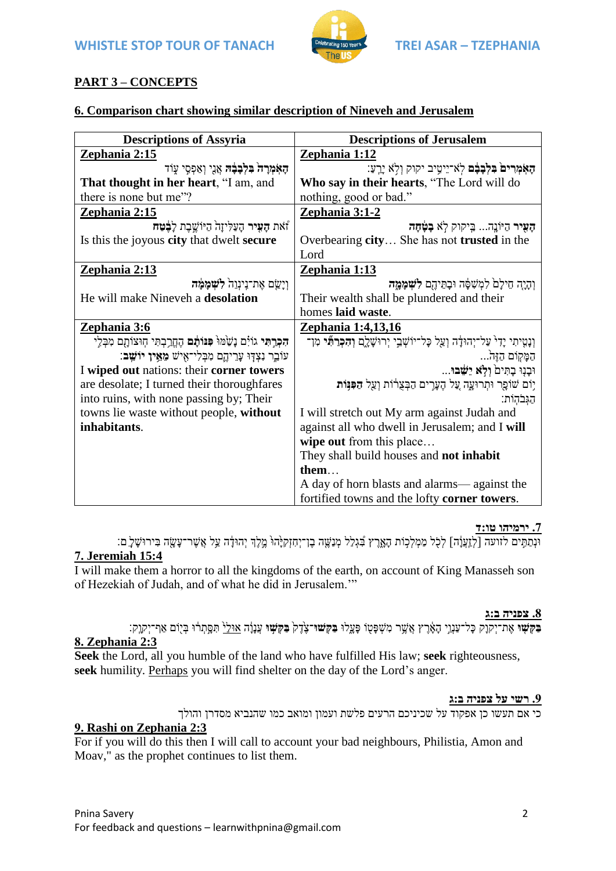

# **PART 3 – CONCEPTS**

# **6. Comparison chart showing similar description of Nineveh and Jerusalem**

| <b>Descriptions of Assyria</b>                                                          | <b>Descriptions of Jerusalem</b>                                                                   |  |
|-----------------------------------------------------------------------------------------|----------------------------------------------------------------------------------------------------|--|
| Zephania 2:15                                                                           | Zephania 1:12                                                                                      |  |
| האמרה בלבבה אֵגֵי וְאַפְסֵי עָוֹד                                                       | הַאֹמְרִים בִּלְבָבֶם לְאֹ־יֵיטִיב יקוק וְלָא יָרֶעַ:                                              |  |
| That thought in her heart, "I am, and                                                   | Who say in their hearts, "The Lord will do                                                         |  |
| there is none but me"?                                                                  | nothing, good or bad."                                                                             |  |
| <u>Zephania 2:15</u>                                                                    | Zephania 3:1-2                                                                                     |  |
| זֿאת <b>הָעִיר</b> הָעַלִּיזָה הַיּוֹשֱבָת לָ <b>בָּטַח</b>                             | הַעִּיר הַיֹּנֵה בִּיקוק לְא בָטָתָה                                                               |  |
| Is this the joyous city that dwelt secure                                               | Overbearing city She has not trusted in the                                                        |  |
|                                                                                         | Lord                                                                                               |  |
| <u>Zephania 2:13</u>                                                                    | Zephania 1:13                                                                                      |  |
| וַיַּשֵׂם אֶת־נִינְוֵה לִשְׁמָמָּה                                                      | וְהָיָה חֵילָם לִמְשָׁפָּה וּבָתֵּיהֶם <b>לִשְׁמָמֶה</b>                                           |  |
| He will make Nineveh a desolation                                                       | Their wealth shall be plundered and their                                                          |  |
|                                                                                         | homes laid waste.                                                                                  |  |
| Zephania 3:6                                                                            | <u>Zephania 1:4,13,16</u>                                                                          |  |
| <b>הִכְרֵתִּי</b> גוֹיָם נָשַׂמּוּ <b>´ פִּנּוֹתֶם</b> הֶחֱרָבְתִּי חִוּצוֹתָם מִבְּלֵי | וְנָמִיתִי יָדִי עַל־יְהוּדָה וְעַל כָּל־יוֹשְׁבֵי יְרוּשָׁלֵם <b>וְהִכְר<sup>ָ</sup>תִּי</b> מִן־ |  |
| עוֹבֶר נִצְדָּוּ עֲרֵיהֱם מִכְּלִי־אִישׁ מֵאֵין יוֹשֵׁבּ:                               | הַמָּקֻוֹם הַזֶּהֹ<br>וּבְנָוּ בְתִּים <b>´ וְלָא יֵשֵׁבוּ</b>                                     |  |
| I wiped out nations: their corner towers                                                |                                                                                                    |  |
| are desolate; I turned their thoroughfares                                              | יָוֹם שׁוֹפֻר וּתְרוּעֲה עֲל הֶעֲרָים הַבְּצֻרוֹת וְעַל <b>הַפְּנִוֹת</b>                          |  |
| into ruins, with none passing by; Their                                                 |                                                                                                    |  |
|                                                                                         | הגִּבֹהְוֹת:                                                                                       |  |
| towns lie waste without people, without                                                 | I will stretch out My arm against Judah and                                                        |  |
| inhabitants.                                                                            | against all who dwell in Jerusalem; and I will                                                     |  |
|                                                                                         | wipe out from this place                                                                           |  |
|                                                                                         | They shall build houses and not inhabit                                                            |  |
|                                                                                         | them                                                                                               |  |
|                                                                                         | A day of horn blasts and alarms— against the<br>fortified towns and the lofty corner towers.       |  |

#### **.7 ירמיהו טו:ד**

ּונְתַ תִ ִׁ֣ ים לזועה ]לְזִַּֽעֲוָָ֔ ה[ לְכָֹ֖ ל מַ מְ לְכִׁ֣ ֹות הָאָ ָּ֑רֶּ ץ בִֹ֠ גְ לַל מְ נַשֶּ ָ֤ ה בֶּן־יְחִ זְקִ יָ֙ הּו֙ מֶּ ִׁ֣לְֶּך יְהּודָָ֔ ה עַ ֵ֥ל אֲשֶּ ר־עָשָ ָ֖ ה בִ ירּושָ לִִָּֽ ִָֽם׃ **7. Jeremiah 15:4**

I will make them a horror to all the kingdoms of the earth, on account of King Manasseh son of Hezekiah of Judah, and of what he did in Jerusalem.'"

#### **.8 צפניה ב:ג**

**ַּבְקִשָּׁוּ אֶת־יִקוַק כַּל־עַנְוֵי הָאָרֵץ אֲשֶׁר מִשְׁפַּטוֹ פַּעֲלוּ בַּקִשׁוּ־צֶרֶק בַּקִּשָׁוּ עֲנַוָ֫ה אוּלַ<sup>וּ</sup> תִּסֵתְרֹוּ בְּיִוֹם אַף־יִקְוֵק: 8. Zephania 2:3**

**Seek** the Lord, all you humble of the land who have fulfilled His law; **seek** righteousness, **seek** humility. Perhaps you will find shelter on the day of the Lord's anger.

#### **.9 רשי על צפניה ב:ג**

כי אם תעשו כן אפקוד על שכיניכם הרעים פלשת ועמון ומואב כמו שהנביא מסדרן והולך **9. Rashi on Zephania 2:3**

For if you will do this then I will call to account your bad neighbours, Philistia, Amon and Moav," as the prophet continues to list them.